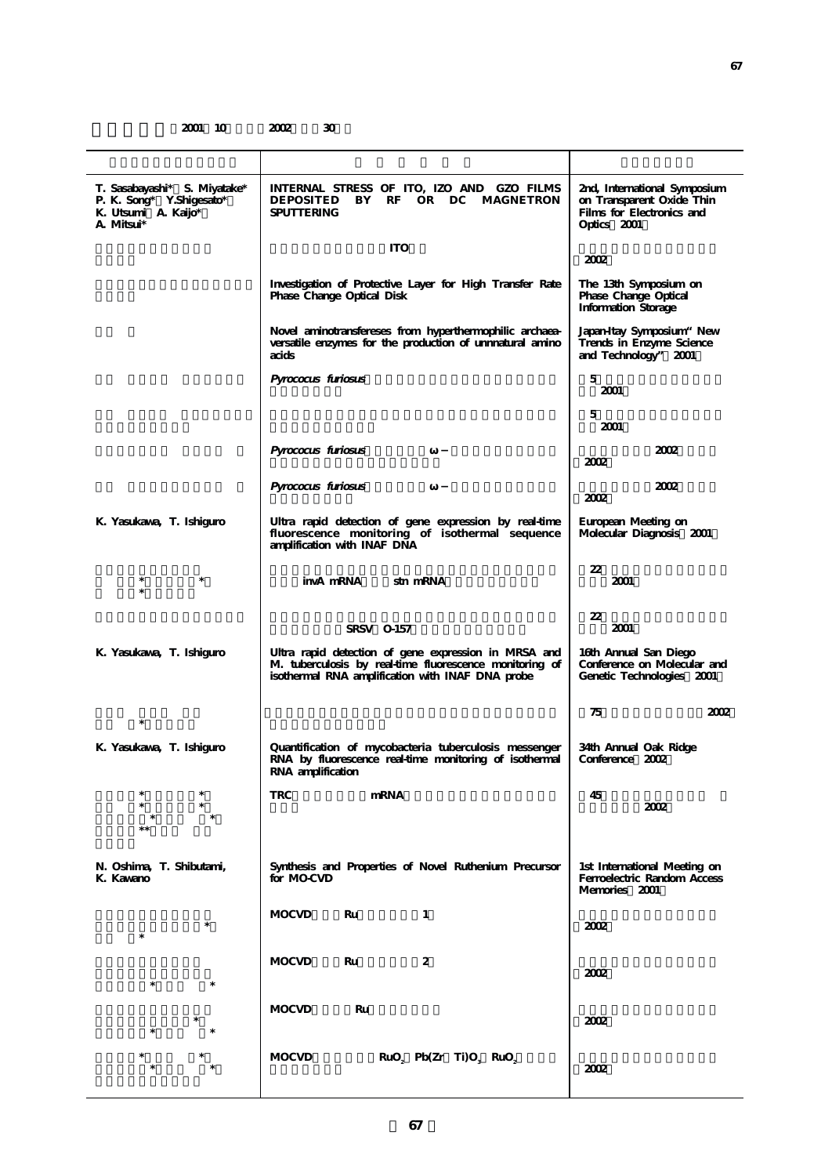**2001 10 2002 30** 

| T. Sasabayashi* S. Miyatake*<br>P. K. Song* Y. Shigesato*<br>K. Utsumi A. Kaijo*<br>A. Mitsui* | INTERNAL STRESS OF ITO, IZO AND GZO FILMS<br>BY<br>RF<br>OR DC MAGNETRON<br><b>DEPOSITED</b><br><b>SPUTTERING</b>                                                   | 2nd, International Symposium<br>on Transparent Oxide Thin<br>Films for Electronics and<br>Optics 2001 |
|------------------------------------------------------------------------------------------------|---------------------------------------------------------------------------------------------------------------------------------------------------------------------|-------------------------------------------------------------------------------------------------------|
|                                                                                                | <b>ITO</b>                                                                                                                                                          | 2002                                                                                                  |
|                                                                                                | Investigation of Protective Layer for High Transfer Rate<br>Phase Change Optical Disk                                                                               | The 13th Symposium on<br>Phase Change Optical<br><b>Information Storage</b>                           |
|                                                                                                | Novel aminotransfereses from hyperthermophilic archaea-<br>versatile enzymes for the production of unmatural amino<br>acids                                         | Japan-Itay Symposium" New<br>Trends in Enzyme Science<br>and Technology" 2001                         |
|                                                                                                | Pyrococus furiosus                                                                                                                                                  | 5<br>2001                                                                                             |
|                                                                                                |                                                                                                                                                                     | 5<br>2001                                                                                             |
|                                                                                                | Pyrococus furiosus                                                                                                                                                  | 2002<br>2002                                                                                          |
|                                                                                                | Pyrococus furiosus                                                                                                                                                  | 2002<br>2002                                                                                          |
| K. Yasukawa, T. Ishiguro                                                                       | Ultra rapid detection of gene expression by real-time<br>fluorescence monitoring of isothermal sequence<br>amplification with INAF DNA                              | European Meeting on<br>Molecular Diagnosis 2001                                                       |
| $\ast$                                                                                         | invA mRNA<br>stn mRNA                                                                                                                                               | 22<br>2001                                                                                            |
|                                                                                                | SRSV 0-157                                                                                                                                                          | 22<br>2001                                                                                            |
| K. Yasukawa, T. Ishiguro                                                                       | Ultra rapid detection of gene expression in MRSA and<br>M. tuberculosis by real-time fluorescence monitoring of<br>isothermal RNA amplification with INAF DNA probe | 16th Annual San Diego<br>Conference on Molecular and<br>Genetic Technologies 2001                     |
| *                                                                                              |                                                                                                                                                                     | 75<br>2002                                                                                            |
| K. Yasukawa, T. Ishiguro                                                                       | Quantification of mycobacteria tuberculosis messenger<br>RNA by fluorescence real-time monitoring of isothermal<br>RNA amplification                                | 34th Annual Oak Ridge<br>Conference 2002                                                              |
|                                                                                                | <b>TRC</b><br>mRNA                                                                                                                                                  | 45<br>2002                                                                                            |
| N. Oshima, T. Shibutami,<br>K. Kawano                                                          | Synthesis and Properties of Novel Ruthenium Precursor<br>for MO-CVD                                                                                                 | 1st International Meeting on<br>Ferroelectric Random Access<br>Memories 2001                          |
|                                                                                                | <b>MOCVD</b><br>$\mathbf{1}$<br>Ru                                                                                                                                  | 2002                                                                                                  |
|                                                                                                | <b>MOCVD</b><br>Ru<br>2                                                                                                                                             | 2002                                                                                                  |
|                                                                                                | <b>MOCVD</b><br>Ru                                                                                                                                                  | 2002                                                                                                  |
|                                                                                                | <b>MOCVD</b><br>$RuO2$ Pb(Zr Ti) $O3$ RuO <sub>2</sub>                                                                                                              | 2002                                                                                                  |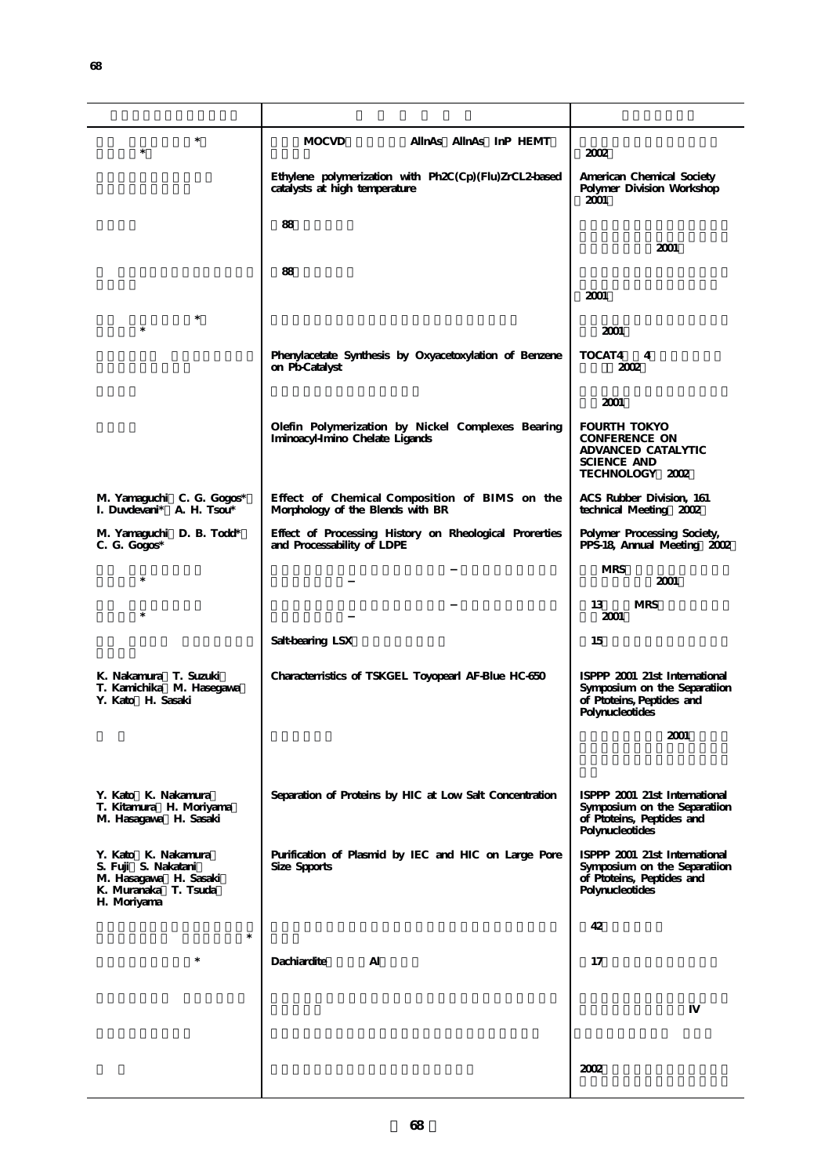| $\ast$<br>$\ast$                                                                                           | AllnAs AllnAs InP HEMT<br><b>MOCVD</b>                                                 | 2002                                                                                                          |
|------------------------------------------------------------------------------------------------------------|----------------------------------------------------------------------------------------|---------------------------------------------------------------------------------------------------------------|
|                                                                                                            | Ethylene polymerization with Ph2C(Cp)(Flu)ZrCL2-based<br>catalysts at high temperature | American Chemical Society<br>Polymer Division Workshop<br>2001                                                |
|                                                                                                            | 88                                                                                     |                                                                                                               |
|                                                                                                            |                                                                                        | 2001                                                                                                          |
|                                                                                                            | 88                                                                                     |                                                                                                               |
|                                                                                                            |                                                                                        | 2001                                                                                                          |
| $\ast$<br>$\ast$                                                                                           |                                                                                        | 2001                                                                                                          |
|                                                                                                            | Phenylacetate Synthesis by Oxyacetoxylation of Benzene<br>on Pb-Catalyst               | TOCAT4<br>4<br>2002                                                                                           |
|                                                                                                            |                                                                                        | 2001                                                                                                          |
|                                                                                                            | Olefin Polymerization by Nickel Complexes Bearing<br>Iminoacyl-Imino Chelate Ligands   | <b>FOURTH TOKYO</b><br><b>CONFERENCE ON</b><br>ADVANCED CATALYTIC<br><b>SCIENCE AND</b><br>TECHNOLOGY 2002    |
| M. Yamaguchi C. G. Gogos*<br>I. Duvdevani* A. H. Tsou*                                                     | Effect of Chemical Composition of BIMS on the<br>Morphology of the Blends with BR      | ACS Rubber Division, 161<br>technical Meeting 2002                                                            |
| M. Yamaguchi D. B. Todd*<br>$C. G. Gogos*$                                                                 | Effect of Processing History on Rheological Prorerties<br>and Processability of LDPE   | Polymer Processing Society,<br>PPS-18, Annual Meeting 2002                                                    |
| $\ast$                                                                                                     |                                                                                        | <b>MRS</b><br>2001                                                                                            |
| $\ast$                                                                                                     |                                                                                        | 13<br><b>MRS</b><br>2001                                                                                      |
|                                                                                                            | Salt-bearing LSX                                                                       | 15                                                                                                            |
| K. Nakamura T. Suzuki<br>T. Kamichika M. Hasegawa<br>Y. Kato H. Sasaki                                     | Characterristics of TSKGEL Toyopearl AF-Blue HC-650                                    | ISPPP 2001 21st International<br>Symposium on the Separatiion<br>of Ptoteins, Peptides and<br>Polynucleotides |
|                                                                                                            |                                                                                        | 2001                                                                                                          |
|                                                                                                            |                                                                                        |                                                                                                               |
| Y. Kato K. Nakamura<br>T. Kitamura H. Moriyama<br>M. Hasagawa H. Sasaki                                    | Separation of Proteins by HIC at Low Salt Concentration                                | ISPPP 2001 21st International<br>Symposium on the Separatiion<br>of Ptoteins, Peptides and<br>Polynucleotides |
| Y. Kato K. Nakamura<br>S. Fuji S. Nakatani<br>M. Hasagawa H. Sasaki<br>K. Muranaka T. Tsuda<br>H. Moriyama | Purification of Plasmid by IEC and HIC on Large Pore<br>Size Spports                   | ISPPP 2001 21st International<br>Symposium on the Separatiion<br>of Ptoteins, Peptides and<br>Polynucleotides |
| $\ast$                                                                                                     |                                                                                        | 42                                                                                                            |
|                                                                                                            | Dachiardite<br>Al                                                                      | 17                                                                                                            |
|                                                                                                            |                                                                                        |                                                                                                               |
|                                                                                                            |                                                                                        |                                                                                                               |
|                                                                                                            |                                                                                        |                                                                                                               |
|                                                                                                            |                                                                                        | 2002                                                                                                          |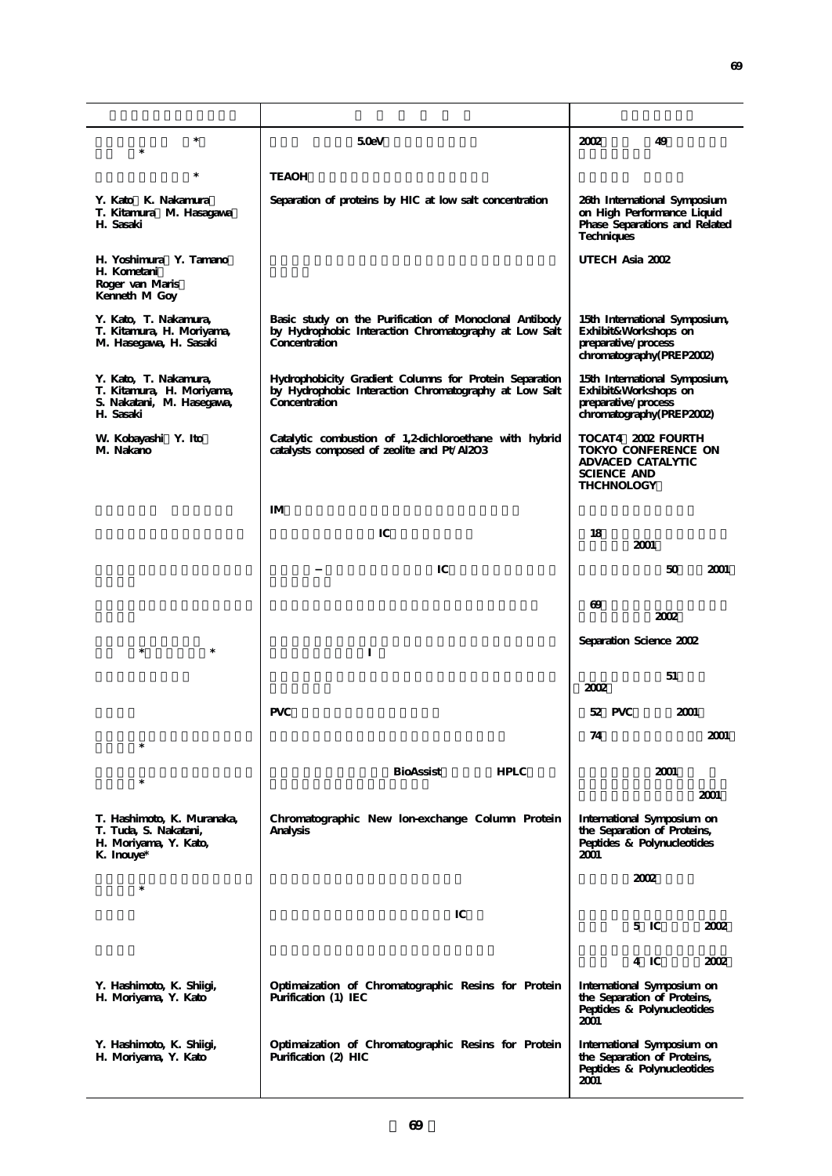| $\ast$<br>$\ast$                                                                             | 50eV                                                                                                                             | 49<br>2002                                                                                                       |
|----------------------------------------------------------------------------------------------|----------------------------------------------------------------------------------------------------------------------------------|------------------------------------------------------------------------------------------------------------------|
| $\ast$                                                                                       | <b>TEAOH</b>                                                                                                                     |                                                                                                                  |
| Y. Kato K. Nakamura<br>T. Kitamura M. Hasagawa<br>H. Sasaki                                  | Separation of proteins by HIC at low salt concentration                                                                          | 26th International Symposium<br>on High Performance Liquid<br>Phase Separations and Related<br><b>Techniques</b> |
| H. Yoshimura Y. Tamano<br>H. Kometani<br>Roger van Maris<br>Kenneth M Goy                    |                                                                                                                                  | UTECH Asia 2002                                                                                                  |
| Y. Kato, T. Nakamura,<br>T. Kitamura, H. Moriyama,<br>M. Hasegawa, H. Sasaki                 | Basic study on the Purification of Monoclonal Antibody<br>by Hydrophobic Interaction Chromatography at Low Salt<br>Concentration | 15th International Symposium,<br>Exhibit&Workshops on<br>preparative/process<br>chromatography(PREP2002)         |
| Y. Kato, T. Nakamura,<br>T. Kitamura, H. Moriyama,<br>S. Nakatani, M. Hasegawa,<br>H. Sasaki | Hydrophobicity Gradient Columns for Protein Separation<br>by Hydrophobic Interaction Chromatography at Low Salt<br>Concentration | 15th International Symposium,<br>Exhibit&Workshops on<br>preparative/process<br>chromatography(PREP2002)         |
| W. Kobayashi Y. Ito<br>M. Nakano                                                             | Catalytic combustion of 1,2-dichloroethane with hybrid<br>catalysts composed of zeolite and Pt/Al2O3                             | TOCAT4 2002 FOURTH<br>TOKYO CONFERENCE ON<br>ADVACED CATALYTIC<br><b>SCIENCE AND</b><br><b>THCHNOLOGY</b>        |
|                                                                                              | $I\!M$                                                                                                                           |                                                                                                                  |
|                                                                                              | IC                                                                                                                               | 18<br>2001                                                                                                       |
|                                                                                              | IC                                                                                                                               | 50<br>2001                                                                                                       |
|                                                                                              |                                                                                                                                  | $\omega$<br>2002                                                                                                 |
| $\ast$<br>$\ast$                                                                             |                                                                                                                                  | Separation Science 2002                                                                                          |
|                                                                                              |                                                                                                                                  | 51<br>2002                                                                                                       |
|                                                                                              | <b>PVC</b>                                                                                                                       | 52 PVC<br>2001                                                                                                   |
|                                                                                              |                                                                                                                                  | 2001<br>74                                                                                                       |
|                                                                                              | BioAssist<br><b>HPLC</b>                                                                                                         | 2001                                                                                                             |
| $\ast$                                                                                       |                                                                                                                                  | 2001                                                                                                             |
| T. Hashimoto, K. Muranaka,<br>T. Tuda, S. Nakatani,<br>H. Moriyama, Y. Kato,<br>K. Inouye*   | Chromatographic New lon-exchange Column Protein<br>Analysis                                                                      | International Symposium on<br>the Separation of Proteins,<br>Peptides & Polynucleotides<br>2001                  |
| $\ast$                                                                                       |                                                                                                                                  | 2002                                                                                                             |
|                                                                                              | IC                                                                                                                               | $5 \text{ IC}$<br>2002                                                                                           |
|                                                                                              |                                                                                                                                  |                                                                                                                  |
|                                                                                              |                                                                                                                                  | 4 IC<br>2002                                                                                                     |
| Y. Hashimoto, K. Shiigi,<br>H. Moriyama, Y. Kato                                             | Optimaization of Chromatographic Resins for Protein<br>Purification (1) IEC                                                      | International Symposium on<br>the Separation of Proteins,<br>Peptides & Polynucleotides<br>2001                  |
| Y. Hashimoto, K. Shiigi,<br>H. Moriyama, Y. Kato                                             | Optimaization of Chromatographic Resins for Protein<br>Purification (2) HIC                                                      | International Symposium on<br>the Separation of Proteins,<br>Peptides & Polynucleotides<br>2001                  |